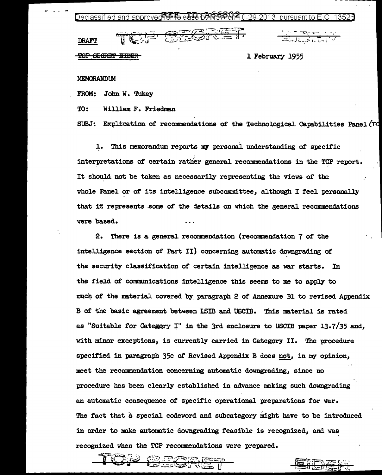መመል 2013 pursuant to E.O. 13526

|        |                            | سيعتبر                                                                |     |
|--------|----------------------------|-----------------------------------------------------------------------|-----|
| - 11   | ستست فعالمن                | $\frac{1}{2}$<br>كالتصيب<br>$\sim$ $\sim$ $\sim$ $\sim$ $\sim$ $\sim$ | - 4 |
|        |                            |                                                                       |     |
| turum. | ________<br><b>TERRITE</b> |                                                                       |     |

<u>The Propose Control</u><br>Consideration of the Control

1 February 1955

MEMORANDUM

FROM: John W. Tukey

TO: William F. Friedman

SUBJ: Explication of recommendations of the Technological Capabilities Panel (7d)

1. This memorandum reports nu personal understanding of specific interpretations of certain rather general recommendations in the TCP report. It should not be taken as necessarily representing the views of the whole Panel or of its intelligence subcommittee, although I feel personally that if represents some of the details on which the general recommendations were based.

2. There is a general recommendation (recommendation 1 of the intel.ligence section of' Part II) concerning automatic downgrading of the security classification of certain intelligence as war starts. In the field of communications intelligence this seems to me to apply to ' much of the material covered by paragraph 2 of Annexure Bl to revised Appendix B of the basic agreement between ISIB and USCIB. This material is rated as "Suitable for Categgry I" in the 3rd enclosure to USCIB paper 13.7/35 and, with minor exceptions, is currently carried in Category II. The procedure specified in paragraph 35e of Revised Appendix B does not, in my opinion, meet the recommendation concerning automatic downgrading, since no procedure has been clearly established in advance making such downgrading an automatic consequence of specific operational preparations for war. The fact that a special codeword and subcategory might have to be introduced in order to make automatic downgrading feasible is recognized, and was recognized when the TCP recommendations were prepared •

 $\ddot{\bullet}$  are then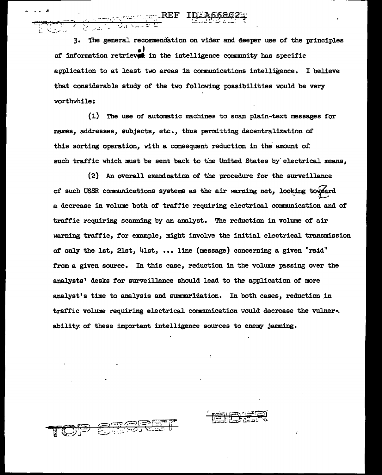3. The general recommendation on wider and deeper use of the principles of information retriever in the intelligence community has specific application to at least two areas in communications intelligence. I believe that considerable study of the two following possibilities would be very worthwhile:

<u>राज्याका पुरा</u> REF<br>जिल्लामा

(1) The use of automatic machines to scan plain-text messages for names, addresses, subjects, etc., thus permitting decentralization of this sorting operation, with a consequent reduction in the amount of. such traffic which must be sent back to the United States by electrical means,

(2) An overall examination of the procedure for the surveillance of such USSR communications systems as the air warning net, looking toweard a decrease in volume both of traffic requiring electrical communication and of traffic requiring scanning by an analyst. The reduction in volume of air warning traffic, for example, might involve the initial electrical transmission of only the lst, 21st, 41st, ... line (message) concerning a given "raid" from a given source. In this case, reduction in the volume passing over the analysts' desks for surveillance should lead to the application of more analyst's time to analysis and summarization. In both cases, reduction in traffic volume requiring electrical communication would decrease the vulner-. ability of these important intelligence sources to enemy jamming.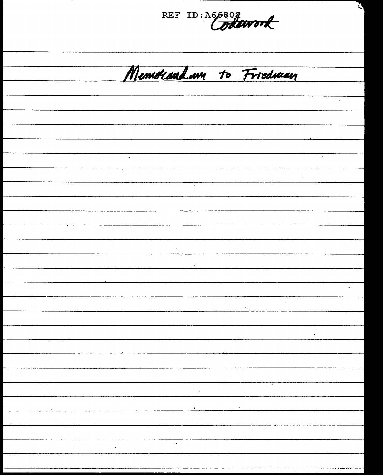REF ID: A66802 Menuolandam to Friedman ÷.  $\ddot{\phantom{a}}$  $\ddot{\phantom{a}}$ k,  $\sim$  $\hat{\mathcal{L}}$